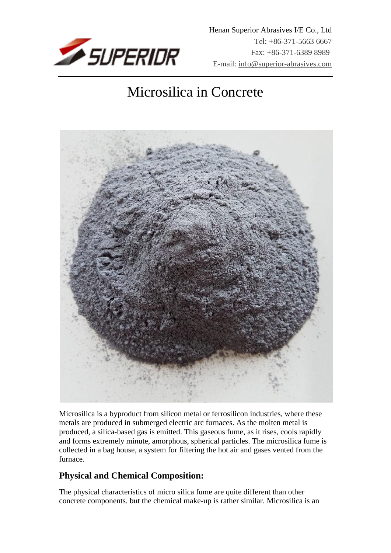

# Microsilica in Concrete



Microsilica is a byproduct from silicon metal or ferrosilicon industries, where these metals are produced in submerged electric arc furnaces. As the molten metal is produced, a silica-based gas is emitted. This gaseous fume, as it rises, cools rapidly and forms extremely minute, amorphous, spherical particles. The microsilica fume is collected in a bag house, a system for filtering the hot air and gases vented from the furnace.

# **Physical and Chemical Composition:**

The physical characteristics of micro silica fume are quite different than other concrete components. but the chemical make-up is rather similar. Microsilica is an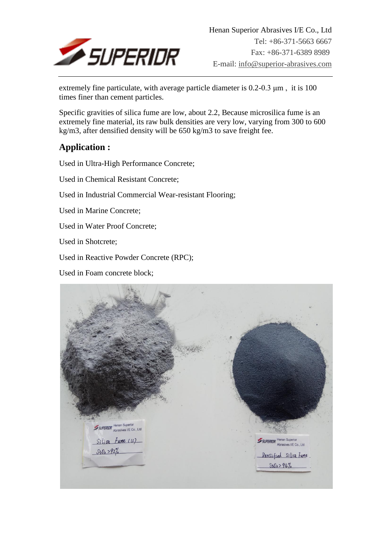

extremely fine particulate, with average particle diameter is 0.2-0.3 μm , it is 100 times finer than cement particles.

Specific gravities of silica fume are low, about 2.2, Because microsilica fume is an extremely fine material, its raw bulk densities are very low, varying from 300 to 600 kg/m3, after densified density will be 650 kg/m3 to save freight fee.

# **Application :**

Used in Ultra-High Performance Concrete;

Used in Chemical Resistant Concrete;

Used in Industrial Commercial Wear-resistant Flooring;

Used in Marine Concrete;

Used in Water Proof Concrete;

Used in Shotcrete;

Used in Reactive Powder Concrete (RPC);

Used in Foam concrete block;

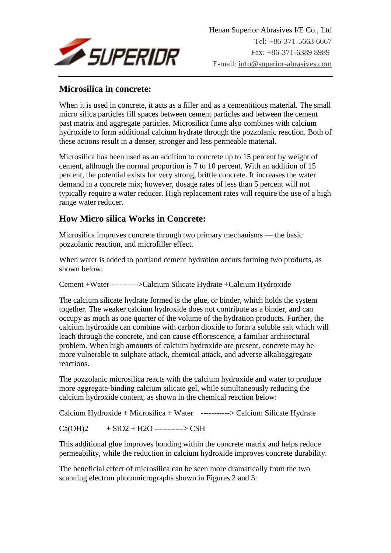

#### **Microsilica in concrete:**

When it is used in concrete, it acts as a filler and as a cementitious material. The small micro silica particles fill spaces between cement particles and between the cement past matrix and aggregate particles. Microsilica fume also combines with calcium hydroxide to form additional calcium hydrate through the pozzolanic reaction. Both of these actions result in a denser, stronger and less permeable material.

Microsilica has been used as an addition to concrete up to 15 percent by weight of cement, although the normal proportion is 7 to 10 percent. With an addition of 15 percent, the potential exists for very strong, brittle concrete. It increases the water demand in a concrete mix; however, dosage rates of less than 5 percent will not typically require a water reducer. High replacement rates will require the use of a high range water reducer.

#### **How Micro silica Works in Concrete:**

Microsilica improves concrete through two primary mechanisms — the basic pozzolanic reaction, and microfiller effect.

When water is added to portland cement hydration occurs forming two products, as shown below:

Cement +Water----------->Calcium Silicate Hydrate +Calcium Hydroxide

The calcium silicate hydrate formed is the glue, or binder, which holds the system together. The weaker calcium hydroxide does not contribute as a binder, and can occupy as much as one quarter of the volume of the hydration products. Further, the calcium hydroxide can combine with carbon dioxide to form a soluble salt which will leach through the concrete, and can cause efflorescence, a familiar architectural problem. When high amounts of calcium hydroxide are present, concrete may be more vulnerable to sulphate attack, chemical attack, and adverse alkaliaggregate reactions.

The pozzolanic microsilica reacts with the calcium hydroxide and water to produce more aggregate-binding calcium silicate gel, while simultaneously reducing the calcium hydroxide content, as shown in the chemical reaction below:

Calcium Hydroxide + Microsilica + Water -----------> Calcium Silicate Hydrate

 $Ca(OH)2 + SiO2 + H2O$  -----------> CSH

This additional glue improves bonding within the concrete matrix and helps reduce permeability, while the reduction in calcium hydroxide improves concrete durability.

The beneficial effect of microsilica can be seen more dramatically from the two scanning electron photomicrographs shown in Figures 2 and 3: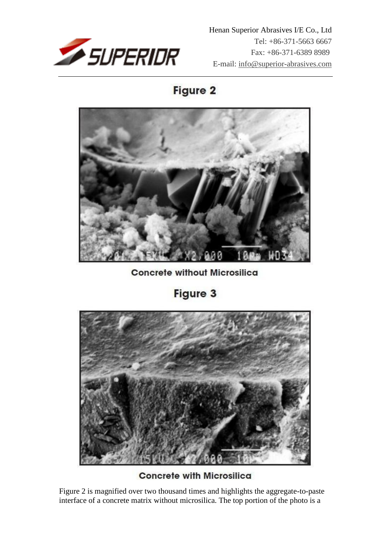

 Henan Superior Abrasives I/E Co., Ltd Tel: +86-371-5663 6667 Fax: +86-371-6389 8989 E-mail: info@superior-abrasives.com

Figure 2



**Concrete without Microsilica** 

Figure 3



**Concrete with Microsilica** 

Figure 2 is magnified over two thousand times and highlights the aggregate-to-paste interface of a concrete matrix without microsilica. The top portion of the photo is a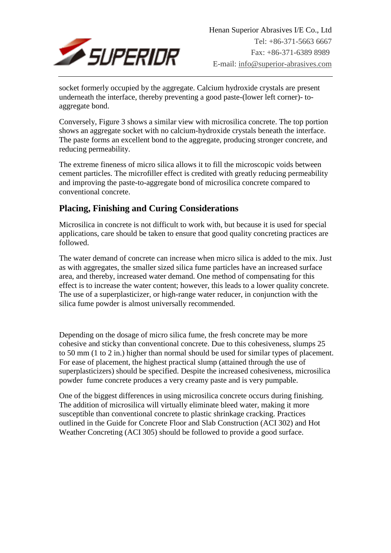

socket formerly occupied by the aggregate. Calcium hydroxide crystals are present underneath the interface, thereby preventing a good paste-(lower left corner)- toaggregate bond.

Conversely, Figure 3 shows a similar view with microsilica concrete. The top portion shows an aggregate socket with no calcium-hydroxide crystals beneath the interface. The paste forms an excellent bond to the aggregate, producing stronger concrete, and reducing permeability.

The extreme fineness of micro silica allows it to fill the microscopic voids between cement particles. The microfiller effect is credited with greatly reducing permeability and improving the paste-to-aggregate bond of microsilica concrete compared to conventional concrete.

# **Placing, Finishing and Curing Considerations**

Microsilica in concrete is not difficult to work with, but because it is used for special applications, care should be taken to ensure that good quality concreting practices are followed.

The water demand of concrete can increase when micro silica is added to the mix. Just as with aggregates, the smaller sized silica fume particles have an increased surface area, and thereby, increased water demand. One method of compensating for this effect is to increase the water content; however, this leads to a lower quality concrete. The use of a superplasticizer, or high-range water reducer, in conjunction with the silica fume powder is almost universally recommended.

Depending on the dosage of micro silica fume, the fresh concrete may be more cohesive and sticky than conventional concrete. Due to this cohesiveness, slumps 25 to 50 mm (1 to 2 in.) higher than normal should be used for similar types of placement. For ease of placement, the highest practical slump (attained through the use of superplasticizers) should be specified. Despite the increased cohesiveness, microsilica powder fume concrete produces a very creamy paste and is very pumpable.

One of the biggest differences in using microsilica concrete occurs during finishing. The addition of microsilica will virtually eliminate bleed water, making it more susceptible than conventional concrete to plastic shrinkage cracking. Practices outlined in the Guide for Concrete Floor and Slab Construction (ACI 302) and Hot Weather Concreting (ACI 305) should be followed to provide a good surface.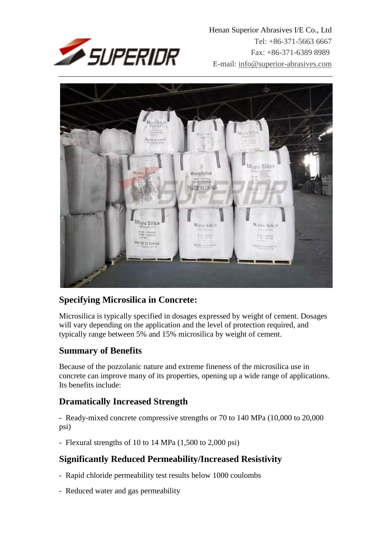

 Henan Superior Abrasives I/E Co., Ltd Tel: +86-371-5663 6667 Fax: +86-371-6389 8989 E-mail: info@superior-abrasives.com



# **Specifying Microsilica in Concrete:**

Microsilica is typically specified in dosages expressed by weight of cement. Dosages will vary depending on the application and the level of protection required, and typically range between 5% and 15% microsilica by weight of cement.

#### **Summary of Benefits**

Because of the pozzolanic nature and extreme fineness of the microsilica use in concrete can improve many of its properties, opening up a wide range of applications. Its benefits include:

#### **Dramatically Increased Strength**

- Ready-mixed concrete compressive strengths or 70 to 140 MPa (10,000 to 20,000 psi)

- Flexural strengths of 10 to 14 MPa (1,500 to 2,000 psi)

# **Significantly Reduced Permeability/Increased Resistivity**

- Rapid chloride permeability test results below 1000 coulombs
- Reduced water and gas permeability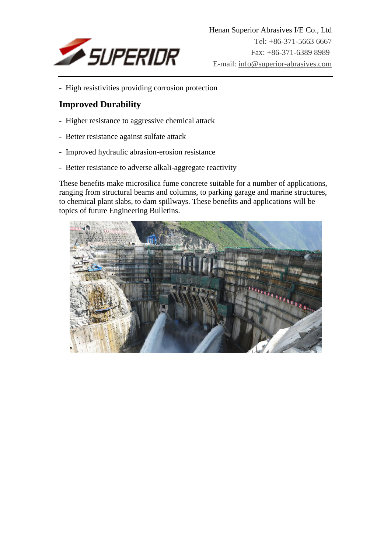

- High resistivities providing corrosion protection

#### **Improved Durability**

- Higher resistance to aggressive chemical attack
- Better resistance against sulfate attack
- Improved hydraulic abrasion-erosion resistance
- Better resistance to adverse alkali-aggregate reactivity

These benefits make microsilica fume concrete suitable for a number of applications, ranging from structural beams and columns, to parking garage and marine structures, to chemical plant slabs, to dam spillways. These benefits and applications will be topics of future Engineering Bulletins.